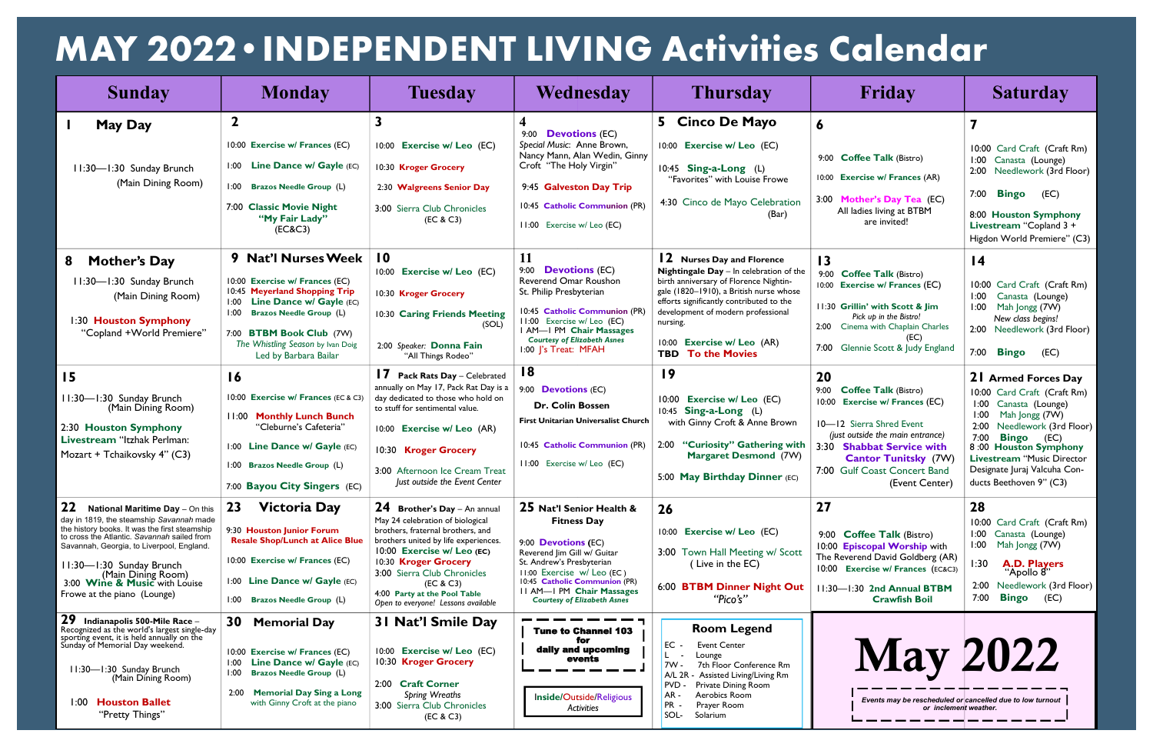| <b>Sunday</b>                                                                                                                                                                         | <b>Monday</b>                                                                                   | <b>Tuesday</b>                                                                                                | Wednesday                                                                                | <b>Thursday</b>                                                                                                              | Friday                                                                                         | <b>Saturday</b>                                                                   |
|---------------------------------------------------------------------------------------------------------------------------------------------------------------------------------------|-------------------------------------------------------------------------------------------------|---------------------------------------------------------------------------------------------------------------|------------------------------------------------------------------------------------------|------------------------------------------------------------------------------------------------------------------------------|------------------------------------------------------------------------------------------------|-----------------------------------------------------------------------------------|
| <b>May Day</b>                                                                                                                                                                        | $\mathbf{2}$                                                                                    |                                                                                                               | 9:00 <b>Devotions</b> (EC)                                                               | 5<br><b>Cinco De Mayo</b>                                                                                                    | 6                                                                                              |                                                                                   |
|                                                                                                                                                                                       | 10:00 Exercise w/ Frances (EC)                                                                  | 10:00 Exercise w/ Leo (EC)                                                                                    | Special Music: Anne Brown,<br>Nancy Mann, Alan Wedin, Ginny                              | 10:00 Exercise w/ Leo (EC)                                                                                                   |                                                                                                | 10:00 Card Craft (Craft Rm)                                                       |
| 11:30-1:30 Sunday Brunch                                                                                                                                                              | 1:00 Line Dance w/ Gayle (EC)                                                                   | 10:30 Kroger Grocery                                                                                          | Croft "The Holy Virgin"                                                                  | 10:45 Sing-a-Long (L)                                                                                                        | 9:00 Coffee Talk (Bistro)                                                                      | 1:00 Canasta (Lounge)<br>2:00 Needlework (3rd Floor)                              |
| (Main Dining Room)                                                                                                                                                                    | 1:00 Brazos Needle Group (L)                                                                    | 2:30 Walgreens Senior Day                                                                                     | 9:45 Galveston Day Trip                                                                  | "Favorites" with Louise Frowe                                                                                                | 10:00 Exercise w/ Frances (AR)                                                                 | <b>Bingo</b><br>7:00<br>(EC)                                                      |
|                                                                                                                                                                                       | 7:00 Classic Movie Night<br>"My Fair Lady"<br>(EC&C3)                                           | 3:00 Sierra Club Chronicles<br>(EC & C3)                                                                      | 10:45 Catholic Communion (PR)<br>11:00 Exercise w/ Leo (EC)                              | 4:30 Cinco de Mayo Celebration<br>(Bar)                                                                                      | 3:00 Mother's Day Tea (EC)<br>All ladies living at BTBM<br>are invited!                        | 8:00 Houston Symphony<br>Livestream "Copland 3 +                                  |
|                                                                                                                                                                                       |                                                                                                 |                                                                                                               |                                                                                          |                                                                                                                              |                                                                                                | Higdon World Premiere" (C3)                                                       |
| <b>Mother's Day</b><br>8                                                                                                                                                              | 9 Nat'l Nurses Week                                                                             | $\overline{10}$                                                                                               | 11<br>9:00 <b>Devotions</b> (EC)                                                         | <b>12</b> Nurses Day and Florence                                                                                            | $\overline{13}$                                                                                | $\overline{14}$                                                                   |
| 11:30-1:30 Sunday Brunch<br>(Main Dining Room)                                                                                                                                        | 10:00 Exercise w/ Frances (EC)<br>10:45 Meyerland Shopping Trip                                 | 10:00 Exercise w/ Leo (EC)<br>10:30 Kroger Grocery                                                            | Reverend Omar Roushon<br>St. Philip Presbyterian                                         | Nightingale Day - In celebration of the<br>birth anniversary of Florence Nightin-<br>gale (1820-1910), a British nurse whose | 9:00 Coffee Talk (Bistro)<br>10:00 Exercise w/ Frances (EC)                                    | 10:00 Card Craft (Craft Rm)<br>1:00<br>Canasta (Lounge)                           |
| 1:30 Houston Symphony                                                                                                                                                                 | 1:00 Line Dance w/ Gayle (EC)<br>1:00 Brazos Needle Group (L)                                   | 10:30 Caring Friends Meeting<br>(SOL)                                                                         | 10:45 Catholic Communion (PR)<br>11:00 Exercise w/ Leo (EC)                              | efforts significantly contributed to the<br>development of modern professional<br>nursing.                                   | 11:30 Grillin' with Scott & Jim<br>Pick up in the Bistro!<br>2:00 Cinema with Chaplain Charles | Mah Jongg (7W)<br>1:00<br>New class begins!                                       |
| "Copland +World Premiere"                                                                                                                                                             | 7:00 BTBM Book Club (7W)<br>The Whistling Season by Ivan Doig<br>Led by Barbara Bailar          | 2:00 Speaker: Donna Fain<br>"All Things Rodeo"                                                                | I AM-I PM Chair Massages<br><b>Courtesy of Elizabeth Asnes</b><br>1:00  's Treat: MFAH   | 10:00 Exercise w/ Leo (AR)<br><b>TBD To the Movies</b>                                                                       | 7:00 Glennie Scott & Judy England                                                              | 2:00 Needlework (3rd Floor)<br>7:00 <b>Bingo</b><br>(EC)                          |
| 15                                                                                                                                                                                    | 16                                                                                              | Pack Rats Day - Celebrated                                                                                    | 18                                                                                       | $\overline{19}$                                                                                                              | 20                                                                                             | 21 Armed Forces Day                                                               |
| 11:30-1:30 Sunday Brunch                                                                                                                                                              | 10:00 Exercise w/ Frances (EC & C3)                                                             | annually on May 17, Pack Rat Day is a<br>day dedicated to those who hold on                                   | 9:00 <b>Devotions</b> (EC)                                                               | 10:00 Exercise w/ Leo (EC)                                                                                                   | 9:00<br><b>Coffee Talk (Bistro)</b><br><b>Exercise w/ Frances (EC)</b><br>10:00                | 10:00 Card Craft (Craft Rm)<br>1:00 Canasta (Lounge)                              |
| (Main Dining Room)<br>2:30 Houston Symphony                                                                                                                                           | 11:00 Monthly Lunch Bunch<br>"Cleburne's Cafeteria"                                             | to stuff for sentimental value.<br>10:00 Exercise w/ Leo (AR)                                                 | <b>Dr. Colin Bossen</b><br>First Unitarian Universalist Church                           | 10:45 Sing-a-Long (L)<br>with Ginny Croft & Anne Brown                                                                       | 10-12 Sierra Shred Event                                                                       | 1:00 Mah Jongg (7W)<br>2:00 Needlework (3rd Floor)                                |
| Livestream "Itzhak Perlman:<br>Mozart + Tchaikovsky 4" (C3)                                                                                                                           | 1:00 Line Dance w/ Gayle (EC)                                                                   | 10:30 Kroger Grocery                                                                                          | 10:45 Catholic Communion (PR)                                                            | 2:00 "Curiosity" Gathering with                                                                                              | (just outside the main entrance)<br>3:30 Shabbat Service with                                  | 7:00 <b>Bingo</b> (EC)<br>8:00 Houston Symphony                                   |
|                                                                                                                                                                                       | 1:00 Brazos Needle Group (L)                                                                    | 3:00 Afternoon Ice Cream Treat                                                                                | 11:00 Exercise w/ Leo (EC)                                                               | <b>Margaret Desmond (7W)</b><br>5:00 May Birthday Dinner (EC)                                                                | <b>Cantor Tunitsky</b> (7W)<br>7:00 Gulf Coast Concert Band                                    | <b>Livestream "Music Director</b><br>Designate Juraj Valcuha Con-                 |
|                                                                                                                                                                                       | 7:00 Bayou City Singers (EC)                                                                    | Just outside the Event Center                                                                                 |                                                                                          |                                                                                                                              | (Event Center)                                                                                 | ducts Beethoven 9" (C3)                                                           |
| 22<br><b>National Maritime Day</b> - On this                                                                                                                                          | 23<br><b>Victoria Day</b>                                                                       | $24$ Brother's Day $-$ An annual                                                                              | 25 Nat'l Senior Health &                                                                 | 26                                                                                                                           | 27                                                                                             | 28                                                                                |
| day in 1819, the steamship Savannah made<br>the history books. It was the first steamship<br>to cross the Atlantic. Savannah sailed from<br>Savannah, Georgia, to Liverpool, England. | 9:30 Houston Junior Forum<br><b>Resale Shop/Lunch at Alice Blue</b>                             | May 24 celebration of biological<br>brothers, fraternal brothers, and<br>brothers united by life experiences. | <b>Fitness Day</b><br>9:00 <b>Devotions</b> (EC)                                         | 10:00 Exercise w/ Leo (EC)                                                                                                   | 9:00 Coffee Talk (Bistro)<br>10:00 Episcopal Worship with                                      | 10:00 Card Craft (Craft Rm)<br>Canasta (Lounge)<br>1:00<br>1:00<br>Mah Jongg (7W) |
| 11:30-1:30 Sunday Brunch                                                                                                                                                              | 10:00 Exercise w/ Frances (EC)                                                                  | 10:00 Exercise w/ Leo (EC)<br>10:30 Kroger Grocery                                                            | Reverend Jim Gill w/ Guitar<br>St. Andrew's Presbyterian                                 | 3:00 Town Hall Meeting w/ Scott<br>(Live in the EC)                                                                          | The Reverend David Goldberg (AR)<br>10:00 Exercise w/ Frances (EC&C3)                          | 1:30<br><b>A.D. Players</b>                                                       |
| (Main Dining Room)<br>3:00 Wine & Music with Louise                                                                                                                                   | 1:00 Line Dance w/ Gayle (EC)                                                                   | 3:00 Sierra Club Chronicles<br>(EC & C3)                                                                      | 11:00 Exercise w/ Leo (EC)<br>10:45 Catholic Communion (PR)<br>11 AM-1 PM Chair Massages | 6:00 BTBM Dinner Night Out                                                                                                   | 11:30-1:30 2nd Annual BTBM                                                                     | "Apollo 8"<br>2:00 Needlework (3rd Floor)                                         |
| Frowe at the piano (Lounge)                                                                                                                                                           | 1:00 Brazos Needle Group (L)                                                                    | 4:00 Party at the Pool Table<br>Open to everyone! Lessons available                                           | <b>Courtesy of Elizabeth Asnes</b>                                                       | "Pico's"                                                                                                                     | <b>Crawfish Boil</b>                                                                           | 7:00<br><b>Bingo</b><br>(EC)                                                      |
| 29<br>Indianapolis 500-Mile Race -<br>Recognized as the world's largest single-day<br>sporting event, it is held annually on the<br>Sunday of Memorial Day weekend.                   | 30<br><b>Memorial Day</b>                                                                       | 31 Nat'l Smile Day                                                                                            | <b>Tune to Channel 103</b><br>for                                                        | <b>Room Legend</b>                                                                                                           |                                                                                                |                                                                                   |
| 11:30-1:30 Sunday Brunch                                                                                                                                                              | 10:00 Exercise w/ Frances (EC)<br>1:00 Line Dance w/ Gayle (EC)<br>1:00 Brazos Needle Group (L) | 10:00 Exercise w/ Leo (EC)<br>10:30 Kroger Grocery                                                            | daily and upcoming<br>events                                                             | $EC -$<br>Event Center<br>Lounge<br>L.<br>$7W -$<br>7th Floor Conference Rm<br>$A/L$ 2 $R$<br>Assisted Living/Living Rm      | <b>May 2022</b>                                                                                |                                                                                   |
| (Main Dining Room)                                                                                                                                                                    | <b>Memorial Day Sing a Long</b><br>2:00                                                         | 2:00 Craft Corner                                                                                             |                                                                                          | <b>PVD</b><br>Private Dining Room<br>AR-<br>Aerobics Room                                                                    |                                                                                                |                                                                                   |
| 1:00 Houston Ballet<br>"Pretty Things"                                                                                                                                                | with Ginny Croft at the piano                                                                   | <b>Spring Wreaths</b><br>3:00 Sierra Club Chronicles<br>(EC & C3)                                             | Inside/Outside/Religious<br><b>Activities</b>                                            | PR.<br>Prayer Room<br>SOL-<br>Solarium                                                                                       | or inclement weather.                                                                          | Events may be rescheduled or cancelled due to low turnout                         |

## **MAY 2022•INDEPENDENT LIVING Activities Calendar**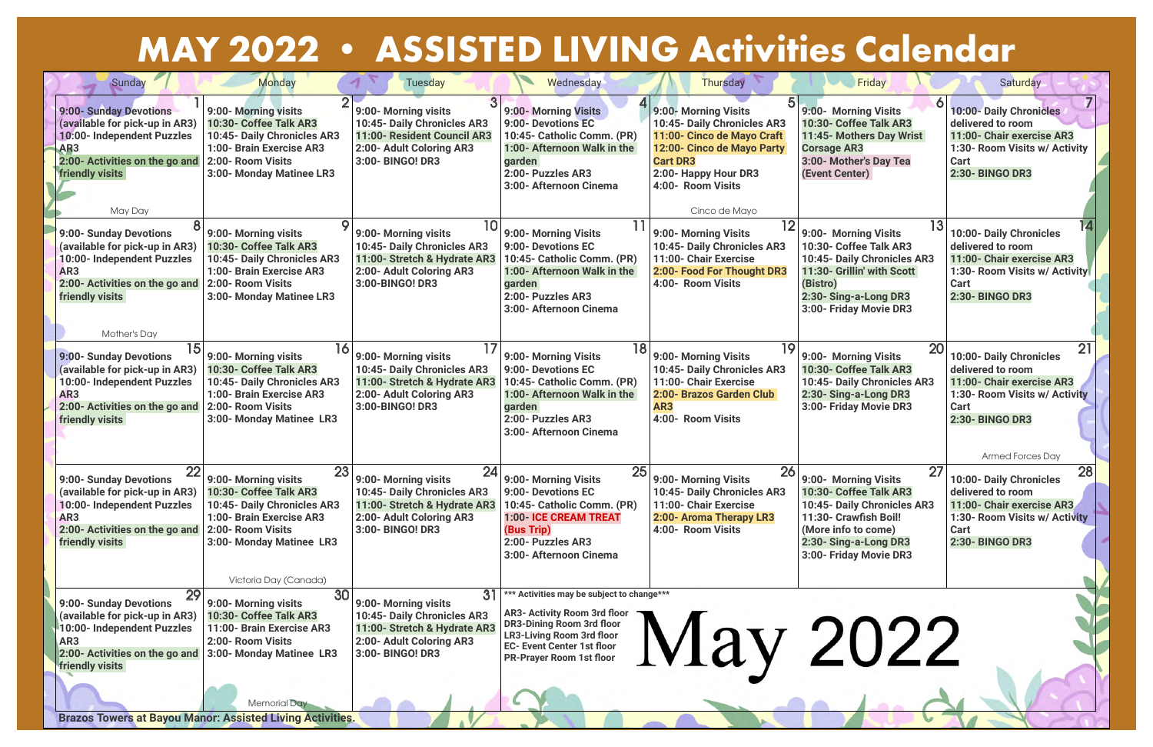| Sunday                                                                                                                                                                                                          | <b>Monday</b>                                                                                                                                                    | <b>Tuesday</b>                                                                                                                            | Wednesday                                                                                                                                                                                                                         | <b>Thursday</b>                                                                                                                                                                                  | Friday                                                                                                                                                                                 | Saturday                                                                                                                                                  |
|-----------------------------------------------------------------------------------------------------------------------------------------------------------------------------------------------------------------|------------------------------------------------------------------------------------------------------------------------------------------------------------------|-------------------------------------------------------------------------------------------------------------------------------------------|-----------------------------------------------------------------------------------------------------------------------------------------------------------------------------------------------------------------------------------|--------------------------------------------------------------------------------------------------------------------------------------------------------------------------------------------------|----------------------------------------------------------------------------------------------------------------------------------------------------------------------------------------|-----------------------------------------------------------------------------------------------------------------------------------------------------------|
| 9:00- Sunday Devotions<br>(available for pick-up in AR3)<br>10:00- Independent Puzzles<br>AR <sub>3</sub><br>2:00- Activities on the go and<br><b>friendly visits</b><br>May Day                                | 9:00- Morning visits<br>10:30- Coffee Talk AR3<br>10:45- Daily Chronicles AR3<br>1:00- Brain Exercise AR3<br>2:00- Room Visits<br>3:00- Monday Matinee LR3       | 9:00- Morning visits<br>10:45- Daily Chronicles AR3<br>11:00- Resident Council AR3<br>2:00- Adult Coloring AR3<br>3:00- BINGO! DR3        | 9:00- Morning Visits<br>9:00- Devotions EC<br>10:45- Catholic Comm. (PR)<br>1:00- Afternoon Walk in the<br>garden<br>2:00- Puzzles AR3<br>3:00- Afternoon Cinema                                                                  | 9:00- Morning Visits<br>10:45- Daily Chronicles AR3<br>11:00- Cinco de Mayo Craft<br>12:00- Cinco de Mayo Party<br><b>Cart DR3</b><br>2:00- Happy Hour DR3<br>4:00- Room Visits<br>Cinco de Mayo | 9:00- Morning Visits<br>10:30- Coffee Talk AR3<br>11:45- Mothers Day Wrist<br><b>Corsage AR3</b><br>3:00- Mother's Day Tea<br>(Event Center)                                           | <b>10:00- Daily Chronicles</b><br>delivered to room<br>11:00- Chair exercise AR3<br>1:30- Room Visits w/ Activity<br>Cart<br>2:30- BINGO DR3              |
| 9:00- Sunday Devotions<br>(available for pick-up in AR3)<br>10:00- Independent Puzzles<br>AR3<br>2:00- Activities on the go and<br>friendly visits<br>Mother's Day                                              | 9:00- Morning visits<br>10:30- Coffee Talk AR3<br>10:45- Daily Chronicles AR3<br>1:00- Brain Exercise AR3<br>2:00- Room Visits<br>3:00- Monday Matinee LR3       | 9:00- Morning visits<br>10:45- Daily Chronicles AR3<br>11:00- Stretch & Hydrate AR3<br>2:00- Adult Coloring AR3<br>3:00-BINGO! DR3        | 9:00- Morning Visits<br>9:00- Devotions EC<br>10:45- Catholic Comm. (PR)<br>1:00- Afternoon Walk in the<br>garden<br>2:00- Puzzles AR3<br>3:00- Afternoon Cinema                                                                  | 9:00- Morning Visits<br>10:45- Daily Chronicles AR3<br>11:00- Chair Exercise<br>2:00- Food For Thought DR3<br>4:00- Room Visits                                                                  | 13<br>9:00- Morning Visits<br>10:30- Coffee Talk AR3<br>10:45- Daily Chronicles AR3<br>11:30- Grillin' with Scott<br>(Bistro)<br>2:30- Sing-a-Long DR3<br>3:00- Friday Movie DR3       | 10:00- Daily Chronicles<br>delivered to room<br>11:00- Chair exercise AR3<br>1:30- Room Visits w/ Activity<br><b>Cart</b><br>2:30- BINGO DR3              |
| 9:00- Sunday Devotions<br>(available for pick-up in AR3)<br>10:00- Independent Puzzles<br>AR <sub>3</sub><br>2:00- Activities on the go and<br>friendly visits                                                  | 16<br>9:00- Morning visits<br>10:30- Coffee Talk AR3<br>10:45- Daily Chronicles AR3<br>1:00- Brain Exercise AR3<br>2:00- Room Visits<br>3:00- Monday Matinee LR3 | 9:00- Morning visits<br>10:45- Daily Chronicles AR3<br>11:00- Stretch & Hydrate AR3<br>2:00- Adult Coloring AR3<br>3:00-BINGO! DR3        | 9:00- Morning Visits<br>9:00- Devotions EC<br>10:45- Catholic Comm. (PR)<br>1:00- Afternoon Walk in the<br>garden<br>2:00- Puzzles AR3<br>3:00- Afternoon Cinema                                                                  | 19<br>9:00- Morning Visits<br>10:45- Daily Chronicles AR3<br>11:00- Chair Exercise<br>2:00- Brazos Garden Club<br>AR3<br>4:00- Room Visits                                                       | 20<br>9:00- Morning Visits<br>10:30- Coffee Talk AR3<br>10:45- Daily Chronicles AR3<br>2:30- Sing-a-Long DR3<br>3:00- Friday Movie DR3                                                 | 10:00- Daily Chronicles<br>delivered to room<br>11:00- Chair exercise AR3<br>1:30- Room Visits w/ Activity<br>Cart<br>2:30- BINGO DR3<br>Armed Forces Day |
| 22<br>9:00- Sunday Devotions<br>(available for pick-up in AR3)   10:30- Coffee Talk AR3<br>10:00- Independent Puzzles<br>AR <sub>3</sub><br>2:00- Activities on the go and 2:00- Room Visits<br>friendly visits | 23<br>9:00- Morning visits<br>10:45- Daily Chronicles AR3<br>1:00- Brain Exercise AR3<br>3:00- Monday Matinee LR3<br>Victoria Day (Canada)                       | 24<br>9:00- Morning visits<br>10:45- Daily Chronicles AR3<br>11:00- Stretch & Hydrate AR3<br>2:00- Adult Coloring AR3<br>3:00- BINGO! DR3 | 25<br>9:00- Morning Visits<br>9:00- Devotions EC<br>10:45- Catholic Comm. (PR)<br>1:00- ICE CREAM TREAT<br>(Bus Trip)<br>2:00- Puzzles AR3<br>3:00- Afternoon Cinema                                                              | 26<br>9:00- Morning Visits<br>10:45- Daily Chronicles AR3<br>11:00- Chair Exercise<br>2:00- Aroma Therapy LR3<br>4:00- Room Visits                                                               | 27<br>9:00- Morning Visits<br>10:30- Coffee Talk AR3<br>10:45- Daily Chronicles AR3<br>11:30- Crawfish Boil!<br>(More info to come)<br>2:30- Sing-a-Long DR3<br>3:00- Friday Movie DR3 | 28<br>10:00- Daily Chronicles<br>delivered to room<br>11:00- Chair exercise AR3<br>1:30- Room Visits w/ Activity<br>Cart<br>2:30- BINGO DR3               |
| 29<br>9:00- Sunday Devotions<br>(available for pick-up in AR3)<br>10:00- Independent Puzzles<br>AR <sub>3</sub><br>2:00- Activities on the go and 3:00- Monday Matinee LR3<br><b>friendly visits</b>            | 30<br>9:00- Morning visits<br>10:30- Coffee Talk AR3<br>11:00- Brain Exercise AR3<br>2:00- Room Visits                                                           | 31<br>9:00- Morning visits<br>10:45- Daily Chronicles AR3<br>11:00- Stretch & Hydrate AR3<br>2:00- Adult Coloring AR3<br>3:00- BINGO! DR3 | *** Activities may be subject to change***<br><b>AR3- Activity Room 3rd floor</b><br><b>DR3-Dining Room 3rd floor</b><br><b>LR3-Living Room 3rd floor</b><br><b>EC- Event Center 1st floor</b><br><b>PR-Prayer Room 1st floor</b> | May 2022                                                                                                                                                                                         |                                                                                                                                                                                        |                                                                                                                                                           |
|                                                                                                                                                                                                                 | <b>Memorial Day</b><br><b>Brazos Towers at Bayou Manor: Assisted Living Activities.</b>                                                                          |                                                                                                                                           |                                                                                                                                                                                                                                   |                                                                                                                                                                                                  |                                                                                                                                                                                        |                                                                                                                                                           |



## **MAY 2022 • ASSISTED LIVING Activities Calendar**